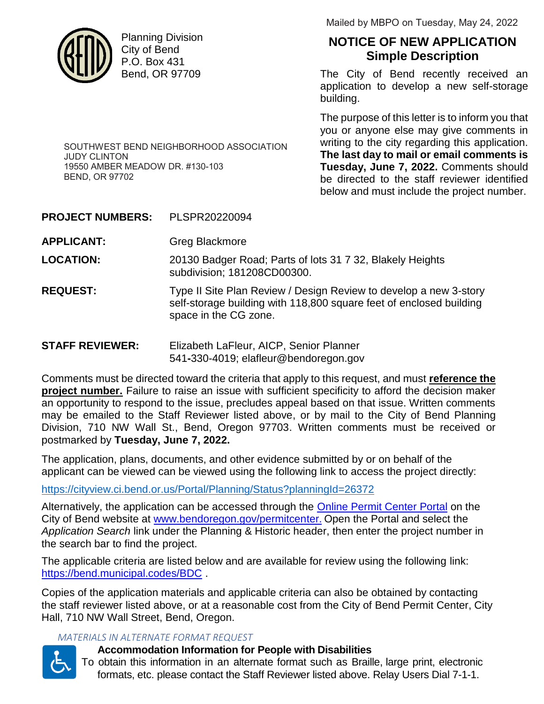

Planning Division City of Bend P.O. Box 431 Bend, OR 97709

Mailed by MBPO on Tuesday, May 24, 2022

# **NOTICE OF NEW APPLICATION Simple Description**

The City of Bend recently received an application to develop a new self-storage building.

The purpose of this letter is to inform you that you or anyone else may give comments in writing to the city regarding this application. **The last day to mail or email comments is Tuesday, June 7, 2022.** Comments should be directed to the staff reviewer identified below and must include the project number.

SOUTHWEST BEND NEIGHBORHOOD ASSOCIATION JUDY CLINTON 19550 AMBER MEADOW DR. #130-103 BEND, OR 97702

**PROJECT NUMBERS:** PLSPR20220094

**APPLICANT:** Greg Blackmore

**LOCATION:** 20130 Badger Road; Parts of lots 31 7 32, Blakely Heights subdivision; 181208CD00300.

**REQUEST:** Type II Site Plan Review / Design Review to develop a new 3-story self-storage building with 118,800 square feet of enclosed building space in the CG zone.

**STAFF REVIEWER:** Elizabeth LaFleur, AICP, Senior Planner 541**-**330-4019; elafleur@bendoregon.gov

Comments must be directed toward the criteria that apply to this request, and must **reference the project number.** Failure to raise an issue with sufficient specificity to afford the decision maker an opportunity to respond to the issue, precludes appeal based on that issue. Written comments may be emailed to the Staff Reviewer listed above, or by mail to the City of Bend Planning Division, 710 NW Wall St., Bend, Oregon 97703. Written comments must be received or postmarked by **Tuesday, June 7, 2022.**

The application, plans, documents, and other evidence submitted by or on behalf of the applicant can be viewed can be viewed using the following link to access the project directly:

https://cityview.ci.bend.or.us/Portal/Planning/Status?planningId=26372

Alternatively, the application can be accessed through the **Online Permit Center Portal** on the City of Bend website at www.bendoregon.gov/permitcenter. Open the Portal and select the *Application Search* link under the Planning & Historic header, then enter the project number in the search bar to find the project.

The applicable criteria are listed below and are available for review using the following link: https://bend.municipal.codes/BDC .

Copies of the application materials and applicable criteria can also be obtained by contacting the staff reviewer listed above, or at a reasonable cost from the City of Bend Permit Center, City Hall, 710 NW Wall Street, Bend, Oregon.

## *MATERIALS IN ALTERNATE FORMAT REQUEST*



## **Accommodation Information for People with Disabilities**

To obtain this information in an alternate format such as Braille, large print, electronic formats, etc. please contact the Staff Reviewer listed above. Relay Users Dial 7-1-1.